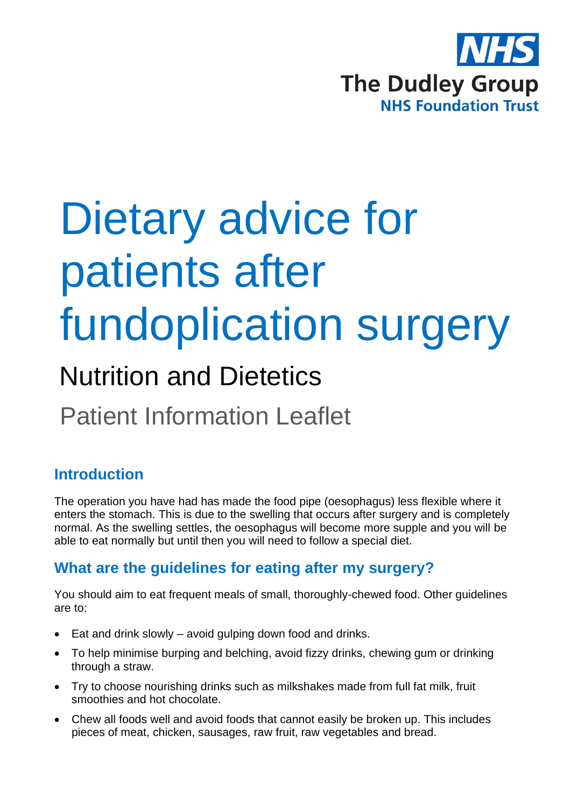

# Dietary advice for patients after fundoplication surgery

# Nutrition and Dietetics

Patient Information Leaflet

# **Introduction**

The operation you have had has made the food pipe (oesophagus) less flexible where it enters the stomach. This is due to the swelling that occurs after surgery and is completely normal. As the swelling settles, the oesophagus will become more supple and you will be able to eat normally but until then you will need to follow a special diet.

### **What are the guidelines for eating after my surgery?**

You should aim to eat frequent meals of small, thoroughly-chewed food. Other guidelines are to:

- Eat and drink slowly avoid gulping down food and drinks.
- To help minimise burping and belching, avoid fizzy drinks, chewing gum or drinking through a straw.
- Try to choose nourishing drinks such as milkshakes made from full fat milk, fruit smoothies and hot chocolate.
- Chew all foods well and avoid foods that cannot easily be broken up. This includes pieces of meat, chicken, sausages, raw fruit, raw vegetables and bread.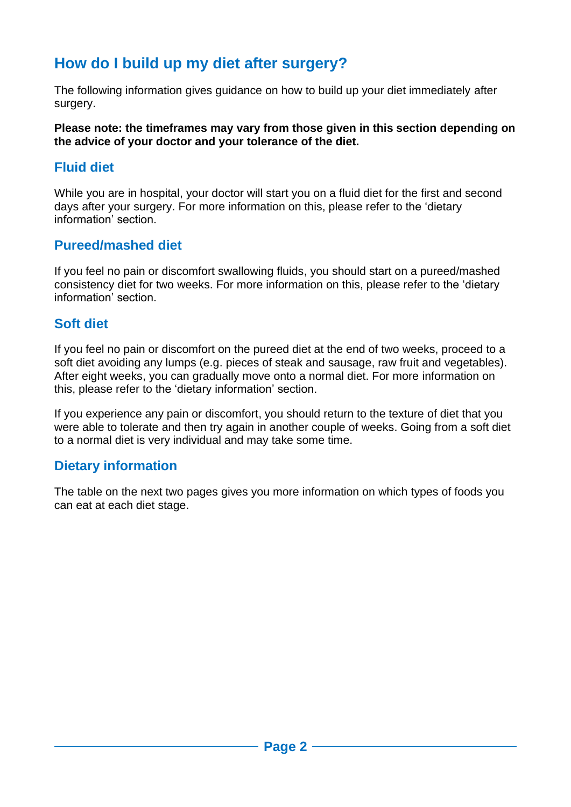## **How do I build up my diet after surgery?**

The following information gives guidance on how to build up your diet immediately after surgery.

**Please note: the timeframes may vary from those given in this section depending on the advice of your doctor and your tolerance of the diet.**

#### **Fluid diet**

While you are in hospital, your doctor will start you on a fluid diet for the first and second days after your surgery. For more information on this, please refer to the 'dietary information' section.

#### **Pureed/mashed diet**

If you feel no pain or discomfort swallowing fluids, you should start on a pureed/mashed consistency diet for two weeks. For more information on this, please refer to the 'dietary information' section.

#### **Soft diet**

If you feel no pain or discomfort on the pureed diet at the end of two weeks, proceed to a soft diet avoiding any lumps (e.g. pieces of steak and sausage, raw fruit and vegetables). After eight weeks, you can gradually move onto a normal diet. For more information on this, please refer to the 'dietary information' section.

If you experience any pain or discomfort, you should return to the texture of diet that you were able to tolerate and then try again in another couple of weeks. Going from a soft diet to a normal diet is very individual and may take some time.

#### **Dietary information**

The table on the next two pages gives you more information on which types of foods you can eat at each diet stage.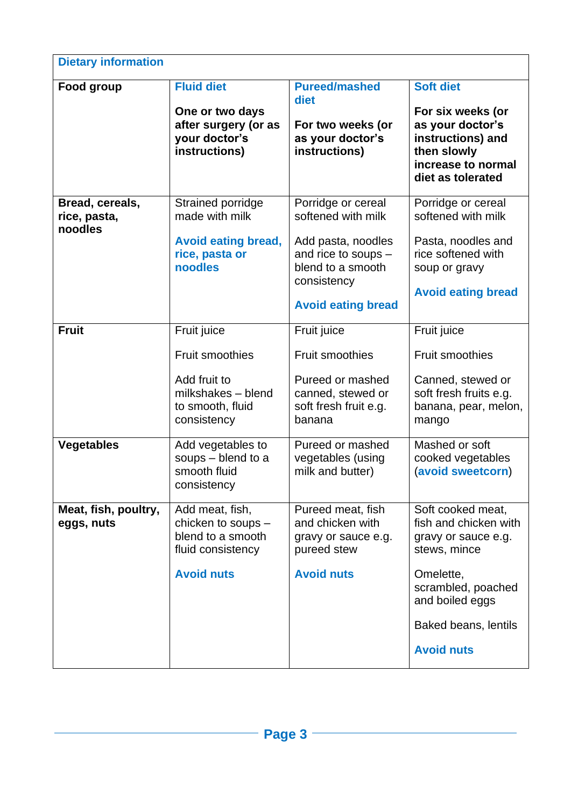| <b>Dietary information</b>                 |                                                                                                         |                                                                                                                                                        |                                                                                                                                                                                      |  |
|--------------------------------------------|---------------------------------------------------------------------------------------------------------|--------------------------------------------------------------------------------------------------------------------------------------------------------|--------------------------------------------------------------------------------------------------------------------------------------------------------------------------------------|--|
| Food group                                 | <b>Fluid diet</b><br>One or two days<br>after surgery (or as<br>your doctor's<br>instructions)          | <b>Pureed/mashed</b><br>diet<br>For two weeks (or<br>as your doctor's<br>instructions)                                                                 | <b>Soft diet</b><br>For six weeks (or<br>as your doctor's<br>instructions) and<br>then slowly<br>increase to normal<br>diet as tolerated                                             |  |
| Bread, cereals,<br>rice, pasta,<br>noodles | Strained porridge<br>made with milk<br><b>Avoid eating bread,</b><br>rice, pasta or<br>noodles          | Porridge or cereal<br>softened with milk<br>Add pasta, noodles<br>and rice to soups -<br>blend to a smooth<br>consistency<br><b>Avoid eating bread</b> | Porridge or cereal<br>softened with milk<br>Pasta, noodles and<br>rice softened with<br>soup or gravy<br><b>Avoid eating bread</b>                                                   |  |
| <b>Fruit</b>                               | Fruit juice<br>Fruit smoothies<br>Add fruit to<br>milkshakes - blend<br>to smooth, fluid<br>consistency | Fruit juice<br><b>Fruit smoothies</b><br>Pureed or mashed<br>canned, stewed or<br>soft fresh fruit e.g.<br>banana                                      | Fruit juice<br><b>Fruit smoothies</b><br>Canned, stewed or<br>soft fresh fruits e.g.<br>banana, pear, melon,<br>mango                                                                |  |
| <b>Vegetables</b>                          | Add vegetables to<br>soups - blend to a<br>smooth fluid<br>consistency                                  | Pureed or mashed<br>vegetables (using<br>milk and butter)                                                                                              | Mashed or soft<br>cooked vegetables<br>(avoid sweetcorn)                                                                                                                             |  |
| Meat, fish, poultry,<br>eggs, nuts         | Add meat, fish,<br>chicken to soups -<br>blend to a smooth<br>fluid consistency<br><b>Avoid nuts</b>    | Pureed meat, fish<br>and chicken with<br>gravy or sauce e.g.<br>pureed stew<br><b>Avoid nuts</b>                                                       | Soft cooked meat,<br>fish and chicken with<br>gravy or sauce e.g.<br>stews, mince<br>Omelette,<br>scrambled, poached<br>and boiled eggs<br>Baked beans, lentils<br><b>Avoid nuts</b> |  |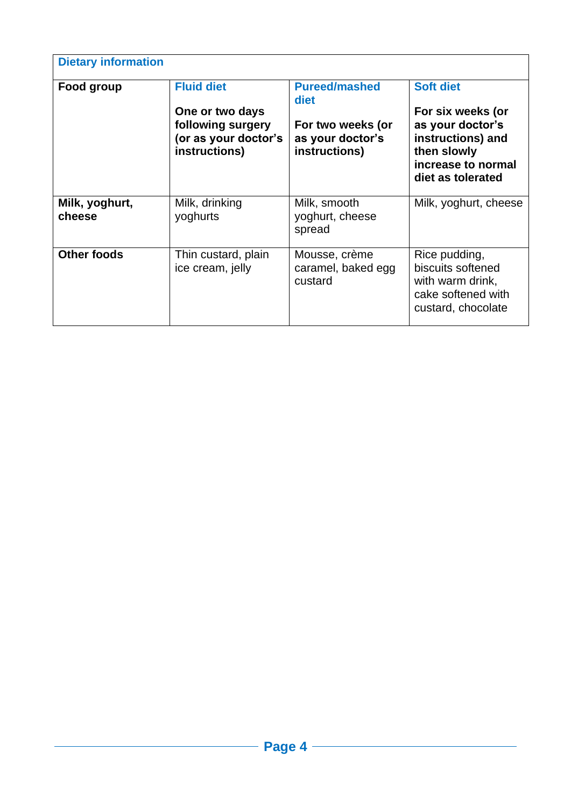| <b>Dietary information</b> |                                                                                                    |                                                                                        |                                                                                                                                          |  |  |
|----------------------------|----------------------------------------------------------------------------------------------------|----------------------------------------------------------------------------------------|------------------------------------------------------------------------------------------------------------------------------------------|--|--|
| Food group                 | <b>Fluid diet</b><br>One or two days<br>following surgery<br>(or as your doctor's<br>instructions) | <b>Pureed/mashed</b><br>diet<br>For two weeks (or<br>as your doctor's<br>instructions) | <b>Soft diet</b><br>For six weeks (or<br>as your doctor's<br>instructions) and<br>then slowly<br>increase to normal<br>diet as tolerated |  |  |
| Milk, yoghurt,<br>cheese   | Milk, drinking<br>yoghurts                                                                         | Milk, smooth<br>yoghurt, cheese<br>spread                                              | Milk, yoghurt, cheese                                                                                                                    |  |  |
| Other foods                | Thin custard, plain<br>ice cream, jelly                                                            | Mousse, crème<br>caramel, baked egg<br>custard                                         | Rice pudding,<br>biscuits softened<br>with warm drink,<br>cake softened with<br>custard, chocolate                                       |  |  |